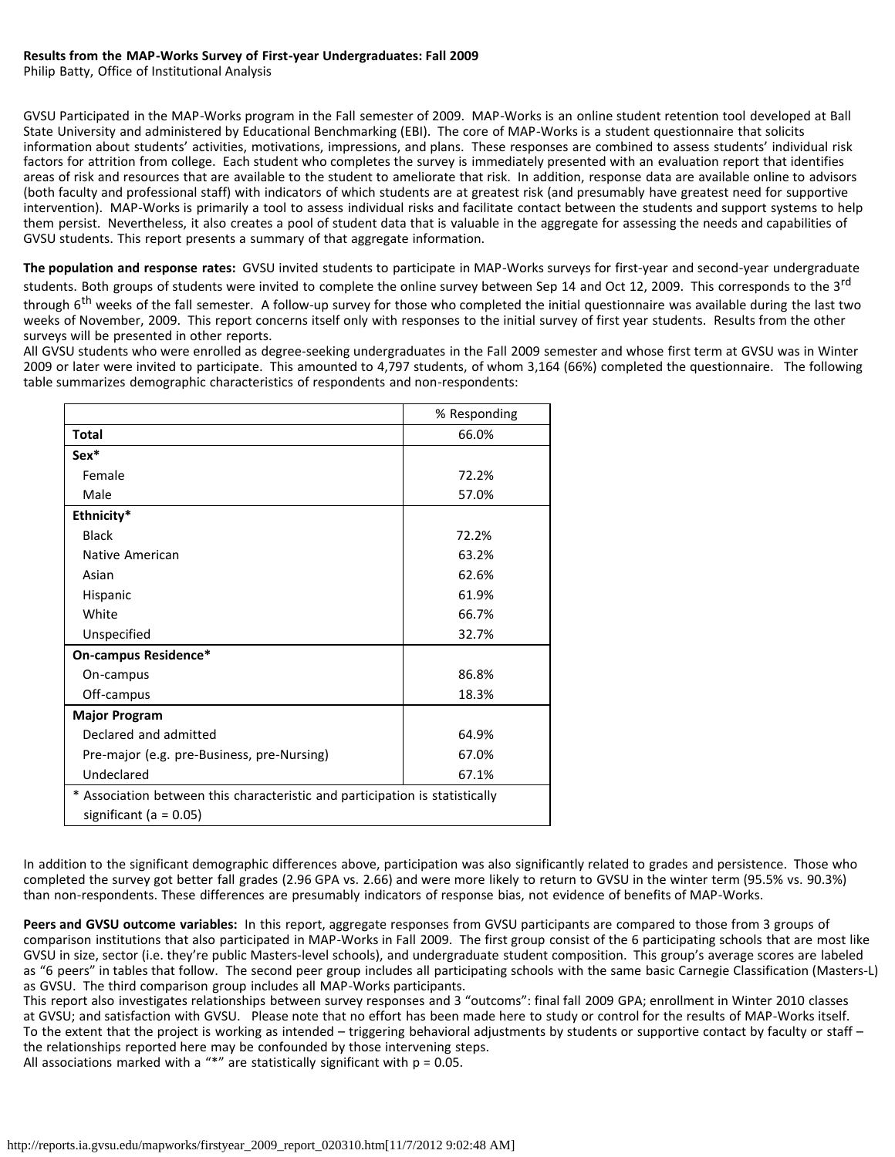Philip Batty, Office of Institutional Analysis

GVSU Participated in the MAP-Works program in the Fall semester of 2009. MAP-Works is an online student retention tool developed at Ball State University and administered by Educational Benchmarking (EBI). The core of MAP-Works is a student questionnaire that solicits information about students' activities, motivations, impressions, and plans. These responses are combined to assess students' individual risk factors for attrition from college. Each student who completes the survey is immediately presented with an evaluation report that identifies areas of risk and resources that are available to the student to ameliorate that risk. In addition, response data are available online to advisors (both faculty and professional staff) with indicators of which students are at greatest risk (and presumably have greatest need for supportive intervention). MAP-Works is primarily a tool to assess individual risks and facilitate contact between the students and support systems to help them persist. Nevertheless, it also creates a pool of student data that is valuable in the aggregate for assessing the needs and capabilities of GVSU students. This report presents a summary of that aggregate information.

**The population and response rates:** GVSU invited students to participate in MAP-Works surveys for first-year and second-year undergraduate students. Both groups of students were invited to complete the online survey between Sep 14 and Oct 12, 2009. This corresponds to the 3<sup>rd</sup> through 6<sup>th</sup> weeks of the fall semester. A follow-up survey for those who completed the initial questionnaire was available during the last two weeks of November, 2009. This report concerns itself only with responses to the initial survey of first year students. Results from the other surveys will be presented in other reports.

All GVSU students who were enrolled as degree-seeking undergraduates in the Fall 2009 semester and whose first term at GVSU was in Winter 2009 or later were invited to participate. This amounted to 4,797 students, of whom 3,164 (66%) completed the questionnaire. The following table summarizes demographic characteristics of respondents and non-respondents:

|                                                                              | % Responding |
|------------------------------------------------------------------------------|--------------|
| <b>Total</b>                                                                 | 66.0%        |
| Sex*                                                                         |              |
| Female                                                                       | 72.2%        |
| Male                                                                         | 57.0%        |
| Ethnicity*                                                                   |              |
| <b>Black</b>                                                                 | 72.2%        |
| Native American                                                              | 63.2%        |
| Asian                                                                        | 62.6%        |
| Hispanic                                                                     | 61.9%        |
| White                                                                        | 66.7%        |
| Unspecified                                                                  | 32.7%        |
| <b>On-campus Residence*</b>                                                  |              |
| On-campus                                                                    | 86.8%        |
| Off-campus                                                                   | 18.3%        |
| <b>Major Program</b>                                                         |              |
| Declared and admitted                                                        | 64.9%        |
| Pre-major (e.g. pre-Business, pre-Nursing)                                   | 67.0%        |
| Undeclared                                                                   | 67.1%        |
| * Association between this characteristic and participation is statistically |              |
| significant (a = $0.05$ )                                                    |              |

In addition to the significant demographic differences above, participation was also significantly related to grades and persistence. Those who completed the survey got better fall grades (2.96 GPA vs. 2.66) and were more likely to return to GVSU in the winter term (95.5% vs. 90.3%) than non-respondents. These differences are presumably indicators of response bias, not evidence of benefits of MAP-Works.

**Peers and GVSU outcome variables:** In this report, aggregate responses from GVSU participants are compared to those from 3 groups of comparison institutions that also participated in MAP-Works in Fall 2009. The first group consist of the 6 participating schools that are most like GVSU in size, sector (i.e. they're public Masters-level schools), and undergraduate student composition. This group's average scores are labeled as "6 peers" in tables that follow. The second peer group includes all participating schools with the same basic Carnegie Classification (Masters-L) as GVSU. The third comparison group includes all MAP-Works participants.

This report also investigates relationships between survey responses and 3 "outcoms": final fall 2009 GPA; enrollment in Winter 2010 classes at GVSU; and satisfaction with GVSU. Please note that no effort has been made here to study or control for the results of MAP-Works itself. To the extent that the project is working as intended – triggering behavioral adjustments by students or supportive contact by faculty or staff – the relationships reported here may be confounded by those intervening steps.

All associations marked with a "\*" are statistically significant with  $p = 0.05$ .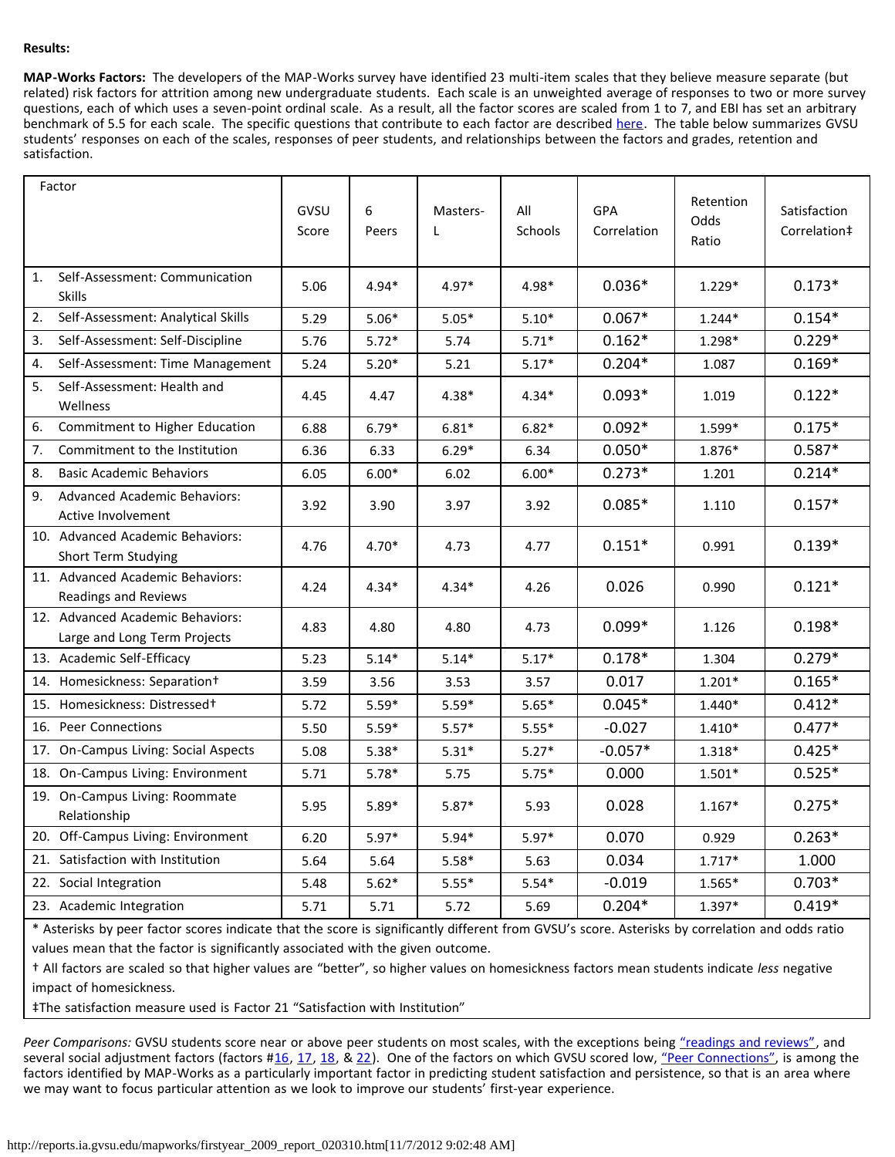## **Results:**

**MAP-Works Factors:** The developers of the MAP-Works survey have identified 23 multi-item scales that they believe measure separate (but related) risk factors for attrition among new undergraduate students. Each scale is an unweighted average of responses to two or more survey questions, each of which uses a seven-point ordinal scale. As a result, all the factor scores are scaled from 1 to 7, and EBI has set an arbitrary benchmark of 5.5 for each scale. The specific questions that contribute to each factor are described [here.](http://reports.ia.gvsu.edu/mapworks/factors.htm) The table below summarizes GVSU students' responses on each of the scales, responses of peer students, and relationships between the factors and grades, retention and satisfaction.

|     | Factor                                                           | GVSU<br>Score | 6<br>Peers | Masters-<br>L | All<br>Schools | GPA<br>Correlation | Retention<br>Odds<br>Ratio | Satisfaction<br>Correlation‡ |
|-----|------------------------------------------------------------------|---------------|------------|---------------|----------------|--------------------|----------------------------|------------------------------|
| 1.  | Self-Assessment: Communication<br><b>Skills</b>                  | 5.06          | $4.94*$    | $4.97*$       | 4.98*          | $0.036*$           | $1.229*$                   | $0.173*$                     |
| 2.  | Self-Assessment: Analytical Skills                               | 5.29          | $5.06*$    | $5.05*$       | $5.10*$        | $0.067*$           | 1.244*                     | $0.154*$                     |
| 3.  | Self-Assessment: Self-Discipline                                 | 5.76          | $5.72*$    | 5.74          | $5.71*$        | $0.162*$           | 1.298*                     | $0.229*$                     |
| 4.  | Self-Assessment: Time Management                                 | 5.24          | $5.20*$    | 5.21          | $5.17*$        | $0.204*$           | 1.087                      | $0.169*$                     |
| 5.  | Self-Assessment: Health and<br>Wellness                          | 4.45          | 4.47       | $4.38*$       | $4.34*$        | $0.093*$           | 1.019                      | $0.122*$                     |
| 6.  | Commitment to Higher Education                                   | 6.88          | $6.79*$    | $6.81*$       | $6.82*$        | $0.092*$           | 1.599*                     | $0.175*$                     |
| 7.  | Commitment to the Institution                                    | 6.36          | 6.33       | $6.29*$       | 6.34           | $0.050*$           | 1.876*                     | $0.587*$                     |
| 8.  | <b>Basic Academic Behaviors</b>                                  | 6.05          | $6.00*$    | 6.02          | $6.00*$        | $0.273*$           | 1.201                      | $0.214*$                     |
| 9.  | <b>Advanced Academic Behaviors:</b><br>Active Involvement        | 3.92          | 3.90       | 3.97          | 3.92           | $0.085*$           | 1.110                      | $0.157*$                     |
|     | 10. Advanced Academic Behaviors:<br>Short Term Studying          | 4.76          | $4.70*$    | 4.73          | 4.77           | $0.151*$           | 0.991                      | $0.139*$                     |
|     | 11. Advanced Academic Behaviors:<br><b>Readings and Reviews</b>  | 4.24          | $4.34*$    | $4.34*$       | 4.26           | 0.026              | 0.990                      | $0.121*$                     |
|     | 12. Advanced Academic Behaviors:<br>Large and Long Term Projects | 4.83          | 4.80       | 4.80          | 4.73           | $0.099*$           | 1.126                      | $0.198*$                     |
|     | 13. Academic Self-Efficacy                                       | 5.23          | $5.14*$    | $5.14*$       | $5.17*$        | $0.178*$           | 1.304                      | $0.279*$                     |
| 14. | Homesickness: Separation+                                        | 3.59          | 3.56       | 3.53          | 3.57           | 0.017              | $1.201*$                   | $0.165*$                     |
|     | 15. Homesickness: Distressed+                                    | 5.72          | $5.59*$    | $5.59*$       | $5.65*$        | $0.045*$           | 1.440*                     | $0.412*$                     |
| 16. | Peer Connections                                                 | 5.50          | $5.59*$    | $5.57*$       | $5.55*$        | $-0.027$           | 1.410*                     | $0.477*$                     |
| 17. | On-Campus Living: Social Aspects                                 | 5.08          | $5.38*$    | $5.31*$       | $5.27*$        | $-0.057*$          | 1.318*                     | $0.425*$                     |
|     | 18. On-Campus Living: Environment                                | 5.71          | $5.78*$    | 5.75          | $5.75*$        | 0.000              | 1.501*                     | $0.525*$                     |
|     | 19. On-Campus Living: Roommate<br>Relationship                   | 5.95          | $5.89*$    | $5.87*$       | 5.93           | 0.028              | $1.167*$                   | $0.275*$                     |
|     | 20. Off-Campus Living: Environment                               | 6.20          | $5.97*$    | $5.94*$       | $5.97*$        | 0.070              | 0.929                      | $0.263*$                     |
| 21. | Satisfaction with Institution                                    | 5.64          | 5.64       | $5.58*$       | 5.63           | 0.034              | $1.717*$                   | 1.000                        |
|     | 22. Social Integration                                           | 5.48          | $5.62*$    | $5.55*$       | $5.54*$        | $-0.019$           | 1.565*                     | $0.703*$                     |
|     | 23. Academic Integration                                         | 5.71          | 5.71       | 5.72          | 5.69           | $0.204*$           | 1.397*                     | $0.419*$                     |

\* Asterisks by peer factor scores indicate that the score is significantly different from GVSU's score. Asterisks by correlation and odds ratio values mean that the factor is significantly associated with the given outcome.

† All factors are scaled so that higher values are "better", so higher values on homesickness factors mean students indicate *less* negative impact of homesickness.

‡The satisfaction measure used is Factor 21 "Satisfaction with Institution"

Peer Comparisons: GVSU students score near or above peer students on most scales, with the exceptions being ["readings and reviews"](http://reports.ia.gvsu.edu/mapworks/factors.htm#f11), and several social adjustment factors (factors #[16,](http://reports.ia.gvsu.edu/mapworks/factors.htm#f16) [17,](http://reports.ia.gvsu.edu/mapworks/factors.htm#f17) [18,](http://reports.ia.gvsu.edu/mapworks/factors.htm#f18) & [22\)](http://reports.ia.gvsu.edu/mapworks/factors.htm#f22). One of the factors on which GVSU scored low, ["Peer Connections",](http://reports.ia.gvsu.edu/mapworks/factors.htm#f16) is among the factors identified by MAP-Works as a particularly important factor in predicting student satisfaction and persistence, so that is an area where we may want to focus particular attention as we look to improve our students' first-year experience.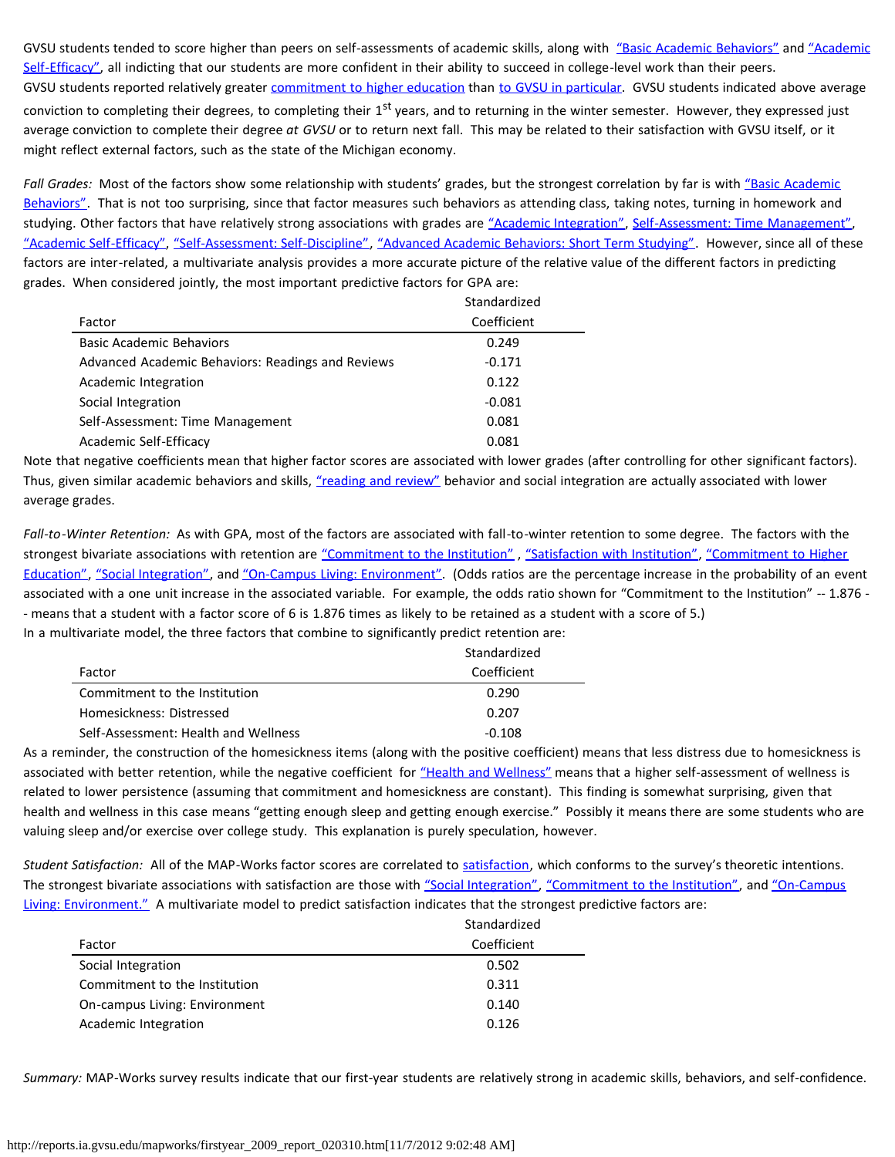GVSU students tended to score higher than peers on self-assessments of academic skills, along with ["Basic Academic Behaviors"](http://reports.ia.gvsu.edu/mapworks/factors.htm#f8) and ["Academic](http://reports.ia.gvsu.edu/mapworks/factors.htm#f13) [Self-Efficacy",](http://reports.ia.gvsu.edu/mapworks/factors.htm#f13) all indicting that our students are more confident in their ability to succeed in college-level work than their peers. GVSU students reported relatively greater [commitment to higher education](http://reports.ia.gvsu.edu/mapworks/factors.htm#f6) than [to GVSU in particular.](http://reports.ia.gvsu.edu/mapworks/factors.htm#f7) GVSU students indicated above average conviction to completing their degrees, to completing their 1<sup>st</sup> years, and to returning in the winter semester. However, they expressed just average conviction to complete their degree *at GVSU* or to return next fall. This may be related to their satisfaction with GVSU itself, or it might reflect external factors, such as the state of the Michigan economy.

Fall Grades: Most of the factors show some relationship with students' grades, but the strongest correlation by far is with ["Basic Academic](http://reports.ia.gvsu.edu/mapworks/factors.htm#f8) [Behaviors".](http://reports.ia.gvsu.edu/mapworks/factors.htm#f8) That is not too surprising, since that factor measures such behaviors as attending class, taking notes, turning in homework and studying. Other factors that have relatively strong associations with grades are ["Academic Integration",](http://reports.ia.gvsu.edu/mapworks/factors.htm#f23) [Self-Assessment: Time Management"](http://reports.ia.gvsu.edu/mapworks/factors.htm#f4), ["Academic Self-Efficacy",](http://reports.ia.gvsu.edu/mapworks/factors.htm#f13) ["Self-Assessment: Self-Discipline"](http://reports.ia.gvsu.edu/mapworks/factors.htm#f3), ["Advanced Academic Behaviors: Short Term Studying".](http://reports.ia.gvsu.edu/mapworks/factors.htm#f10) However, since all of these factors are inter-related, a multivariate analysis provides a more accurate picture of the relative value of the different factors in predicting grades. When considered jointly, the most important predictive factors for GPA are:

|                                                   | Standardized |
|---------------------------------------------------|--------------|
| Factor                                            | Coefficient  |
| Basic Academic Behaviors                          | 0.249        |
| Advanced Academic Behaviors: Readings and Reviews | $-0.171$     |
| Academic Integration                              | 0.122        |
| Social Integration                                | $-0.081$     |
| Self-Assessment: Time Management                  | 0.081        |
| Academic Self-Efficacy                            | 0.081        |

Note that negative coefficients mean that higher factor scores are associated with lower grades (after controlling for other significant factors). Thus, given similar academic behaviors and skills, ["reading and review"](http://reports.ia.gvsu.edu/mapworks/factors.htm#f11) behavior and social integration are actually associated with lower average grades.

*Fall-to-Winter Retention:* As with GPA, most of the factors are associated with fall-to-winter retention to some degree. The factors with the strongest bivariate associations with retention are ["Commitment to the Institution"](http://reports.ia.gvsu.edu/mapworks/factors.htm#f7), ["Satisfaction with Institution",](http://reports.ia.gvsu.edu/mapworks/factors.htm#f21) ["Commitment to Higher](http://reports.ia.gvsu.edu/mapworks/factors.htm#f6) [Education"](http://reports.ia.gvsu.edu/mapworks/factors.htm#f6), ["Social Integration",](http://reports.ia.gvsu.edu/mapworks/factors.htm#f22) and ["On-Campus Living: Environment".](http://reports.ia.gvsu.edu/mapworks/factors.htm#f18) (Odds ratios are the percentage increase in the probability of an event associated with a one unit increase in the associated variable. For example, the odds ratio shown for "Commitment to the Institution" -- 1.876 - - means that a student with a factor score of 6 is 1.876 times as likely to be retained as a student with a score of 5.) In a multivariate model, the three factors that combine to significantly predict retention are:

Standardized

|                                      | Juunuun ulkuu |
|--------------------------------------|---------------|
| Factor                               | Coefficient   |
| Commitment to the Institution        | 0.290         |
| Homesickness: Distressed             | 0.207         |
| Self-Assessment: Health and Wellness | $-0.108$      |
|                                      |               |

As a reminder, the construction of the homesickness items (along with the positive coefficient) means that less distress due to homesickness is associated with better retention, while the negative coefficient for ["Health and Wellness"](http://reports.ia.gvsu.edu/mapworks/factors.htm#f5) means that a higher self-assessment of wellness is related to lower persistence (assuming that commitment and homesickness are constant). This finding is somewhat surprising, given that health and wellness in this case means "getting enough sleep and getting enough exercise." Possibly it means there are some students who are valuing sleep and/or exercise over college study. This explanation is purely speculation, however.

*Student Satisfaction:* All of the MAP-Works factor scores are correlated to [satisfaction,](http://reports.ia.gvsu.edu/mapworks/factors.htm#f21) which conforms to the survey's theoretic intentions. The strongest bivariate associations with satisfaction are those with ["Social Integration",](http://reports.ia.gvsu.edu/mapworks/factors.htm#f22) ["Commitment to the Institution",](http://reports.ia.gvsu.edu/mapworks/factors.htm#f7) and ["On-Campus](http://reports.ia.gvsu.edu/mapworks/factors.htm#f18) [Living: Environment."](http://reports.ia.gvsu.edu/mapworks/factors.htm#f18) A multivariate model to predict satisfaction indicates that the strongest predictive factors are:

|                               | Standardized |
|-------------------------------|--------------|
| Factor                        | Coefficient  |
| Social Integration            | 0.502        |
| Commitment to the Institution | 0.311        |
| On-campus Living: Environment | 0.140        |
| Academic Integration          | 0.126        |

*Summary:* MAP-Works survey results indicate that our first-year students are relatively strong in academic skills, behaviors, and self-confidence.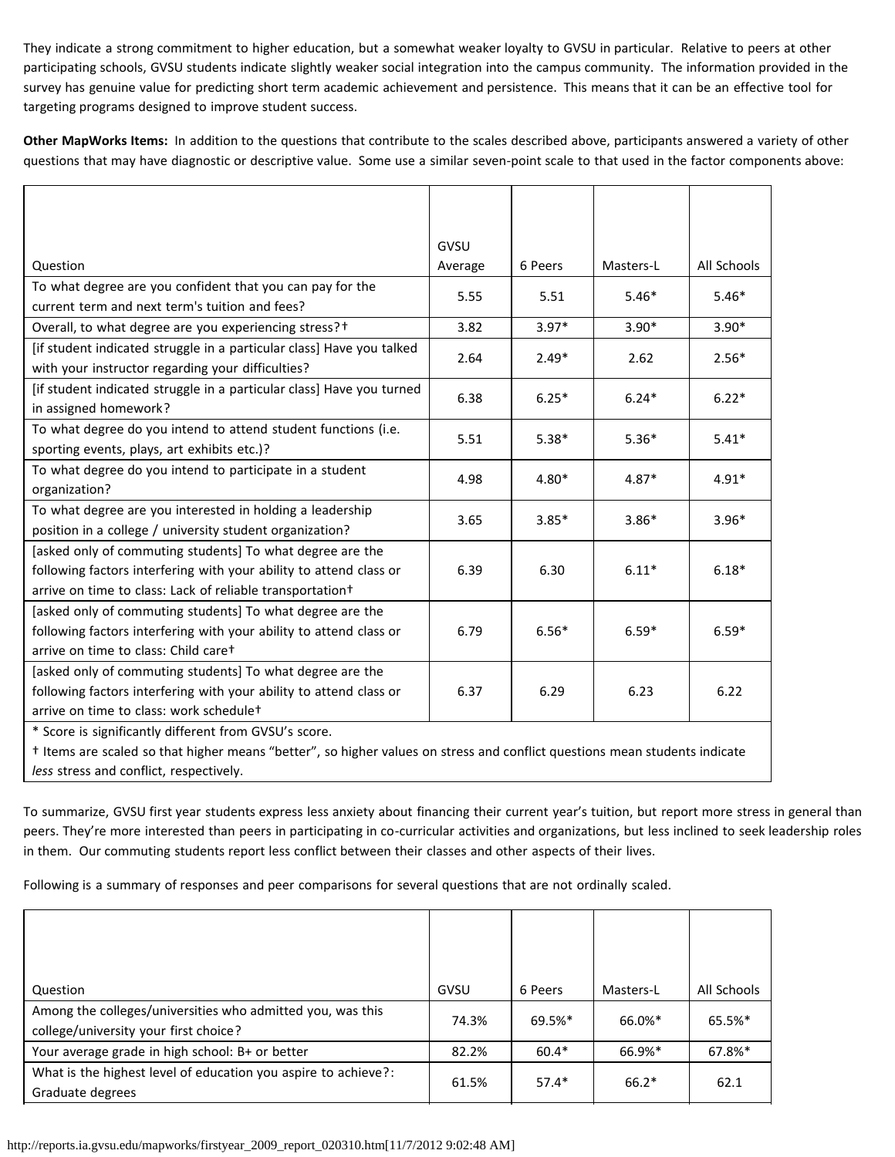They indicate a strong commitment to higher education, but a somewhat weaker loyalty to GVSU in particular. Relative to peers at other participating schools, GVSU students indicate slightly weaker social integration into the campus community. The information provided in the survey has genuine value for predicting short term academic achievement and persistence. This means that it can be an effective tool for targeting programs designed to improve student success.

**Other MapWorks Items:** In addition to the questions that contribute to the scales described above, participants answered a variety of other questions that may have diagnostic or descriptive value. Some use a similar seven-point scale to that used in the factor components above:

|                                                                                                                            | GVSU    |         |           |             |  |
|----------------------------------------------------------------------------------------------------------------------------|---------|---------|-----------|-------------|--|
| Question                                                                                                                   | Average | 6 Peers | Masters-L | All Schools |  |
| To what degree are you confident that you can pay for the                                                                  |         |         |           |             |  |
| current term and next term's tuition and fees?                                                                             | 5.55    | 5.51    | $5.46*$   | $5.46*$     |  |
| Overall, to what degree are you experiencing stress?+                                                                      | 3.82    | $3.97*$ | $3.90*$   | $3.90*$     |  |
| [if student indicated struggle in a particular class] Have you talked<br>with your instructor regarding your difficulties? | 2.64    | $2.49*$ | 2.62      | $2.56*$     |  |
| [if student indicated struggle in a particular class] Have you turned<br>in assigned homework?                             | 6.38    | $6.25*$ | $6.24*$   | $6.22*$     |  |
| To what degree do you intend to attend student functions (i.e.                                                             | 5.51    | $5.38*$ | $5.36*$   | $5.41*$     |  |
| sporting events, plays, art exhibits etc.)?                                                                                |         |         |           |             |  |
| To what degree do you intend to participate in a student                                                                   | 4.98    | $4.80*$ | $4.87*$   | $4.91*$     |  |
| organization?                                                                                                              |         |         |           |             |  |
| To what degree are you interested in holding a leadership                                                                  | 3.65    | $3.85*$ | $3.86*$   | $3.96*$     |  |
| position in a college / university student organization?                                                                   |         |         |           |             |  |
| [asked only of commuting students] To what degree are the                                                                  |         |         |           |             |  |
| following factors interfering with your ability to attend class or                                                         | 6.39    | 6.30    | $6.11*$   | $6.18*$     |  |
| arrive on time to class: Lack of reliable transportation <sup>+</sup>                                                      |         |         |           |             |  |
| [asked only of commuting students] To what degree are the                                                                  |         |         |           |             |  |
| following factors interfering with your ability to attend class or                                                         | 6.79    | $6.56*$ | $6.59*$   | $6.59*$     |  |
| arrive on time to class: Child caret                                                                                       |         |         |           |             |  |
| [asked only of commuting students] To what degree are the                                                                  |         |         |           |             |  |
| following factors interfering with your ability to attend class or                                                         | 6.37    | 6.29    | 6.23      | 6.22        |  |
| arrive on time to class: work schedulet                                                                                    |         |         |           |             |  |
| * Score is significantly different from GVSU's score.                                                                      |         |         |           |             |  |
| † Items are scaled so that higher means "better", so higher values on stress and conflict questions mean students indicate |         |         |           |             |  |
| less stress and conflict, respectively.                                                                                    |         |         |           |             |  |

To summarize, GVSU first year students express less anxiety about financing their current year's tuition, but report more stress in general than peers. They're more interested than peers in participating in co-curricular activities and organizations, but less inclined to seek leadership roles in them. Our commuting students report less conflict between their classes and other aspects of their lives.

Following is a summary of responses and peer comparisons for several questions that are not ordinally scaled.

| Question                                                                                            | GVSU  | 6 Peers | Masters-L | All Schools |
|-----------------------------------------------------------------------------------------------------|-------|---------|-----------|-------------|
| Among the colleges/universities who admitted you, was this<br>college/university your first choice? | 74.3% | 69.5%*  | 66.0%*    | 65.5%*      |
| Your average grade in high school: B+ or better                                                     | 82.2% | $60.4*$ | 66.9%*    | 67.8%*      |
| What is the highest level of education you aspire to achieve?:<br>Graduate degrees                  | 61.5% | $57.4*$ | $66.2*$   | 62.1        |